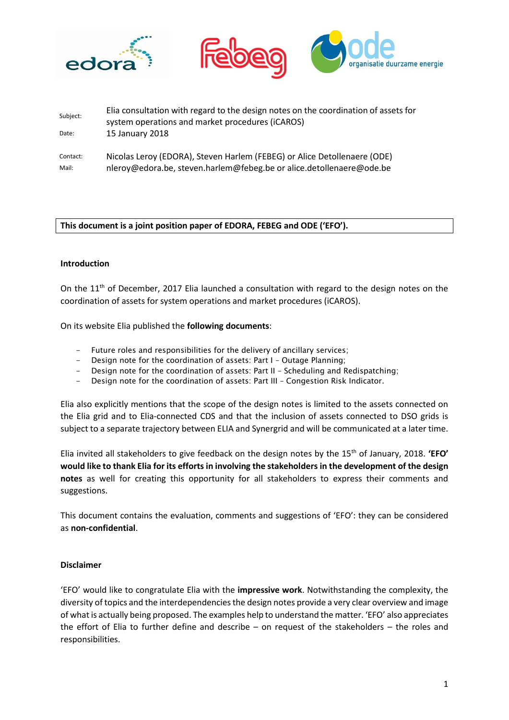





| Subject:          | Elia consultation with regard to the design notes on the coordination of assets for<br>system operations and market procedures (iCAROS)          |
|-------------------|--------------------------------------------------------------------------------------------------------------------------------------------------|
| Date:             | 15 January 2018                                                                                                                                  |
| Contact:<br>Mail: | Nicolas Leroy (EDORA), Steven Harlem (FEBEG) or Alice Detollenaere (ODE)<br>nleroy@edora.be, steven.harlem@febeg.be or alice.detollenaere@ode.be |

# **This document is a joint position paper of EDORA, FEBEG and ODE ('EFO').**

## **Introduction**

On the 11<sup>th</sup> of December, 2017 Elia launched a consultation with regard to the design notes on the coordination of assets for system operations and market procedures (iCAROS).

On its website Elia published the **following documents**:

- Future roles and responsibilities for the delivery of ancillary services;
- Design note for the coordination of assets: Part I Outage Planning;
- Design note for the coordination of assets: Part II Scheduling and Redispatching;
- Design note for the coordination of assets: Part III Congestion Risk Indicator.

Elia also explicitly mentions that the scope of the design notes is limited to the assets connected on the Elia grid and to Elia-connected CDS and that the inclusion of assets connected to DSO grids is subject to a separate trajectory between ELIA and Synergrid and will be communicated at a later time.

Elia invited all stakeholders to give feedback on the design notes by the 15th of January, 2018. **'EFO' would like to thank Elia for its efforts in involving the stakeholders in the development of the design notes** as well for creating this opportunity for all stakeholders to express their comments and suggestions.

This document contains the evaluation, comments and suggestions of 'EFO': they can be considered as **non-confidential**.

## **Disclaimer**

'EFO' would like to congratulate Elia with the **impressive work**. Notwithstanding the complexity, the diversity of topics and the interdependencies the design notes provide a very clear overview and image of what is actually being proposed. The examples help to understand the matter. 'EFO' also appreciates the effort of Elia to further define and describe – on request of the stakeholders – the roles and responsibilities.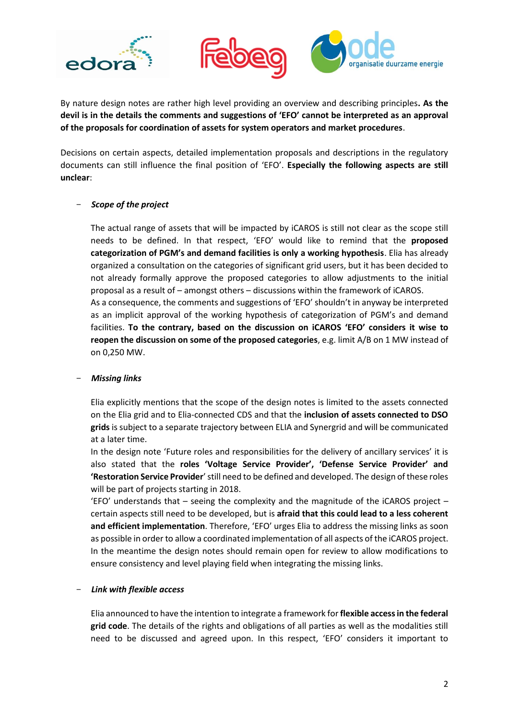





By nature design notes are rather high level providing an overview and describing principles**. As the devil is in the details the comments and suggestions of 'EFO' cannot be interpreted as an approval of the proposals for coordination of assets for system operators and market procedures**.

Decisions on certain aspects, detailed implementation proposals and descriptions in the regulatory documents can still influence the final position of 'EFO'. **Especially the following aspects are still unclear**:

## - *Scope of the project*

The actual range of assets that will be impacted by iCAROS is still not clear as the scope still needs to be defined. In that respect, 'EFO' would like to remind that the **proposed categorization of PGM's and demand facilities is only a working hypothesis**. Elia has already organized a consultation on the categories of significant grid users, but it has been decided to not already formally approve the proposed categories to allow adjustments to the initial proposal as a result of – amongst others – discussions within the framework of iCAROS. As a consequence, the comments and suggestions of 'EFO' shouldn't in anyway be interpreted as an implicit approval of the working hypothesis of categorization of PGM's and demand facilities. **To the contrary, based on the discussion on iCAROS 'EFO' considers it wise to reopen the discussion on some of the proposed categories**, e.g. limit A/B on 1 MW instead of on 0,250 MW.

## - *Missing links*

Elia explicitly mentions that the scope of the design notes is limited to the assets connected on the Elia grid and to Elia-connected CDS and that the **inclusion of assets connected to DSO grids** is subject to a separate trajectory between ELIA and Synergrid and will be communicated at a later time.

In the design note 'Future roles and responsibilities for the delivery of ancillary services' it is also stated that the **roles 'Voltage Service Provider', 'Defense Service Provider' and 'Restoration Service Provider**' still need to be defined and developed. The design of these roles will be part of projects starting in 2018.

'EFO' understands that – seeing the complexity and the magnitude of the iCAROS project – certain aspects still need to be developed, but is **afraid that this could lead to a less coherent and efficient implementation**. Therefore, 'EFO' urges Elia to address the missing links as soon as possible in order to allow a coordinated implementation of all aspects of the iCAROS project. In the meantime the design notes should remain open for review to allow modifications to ensure consistency and level playing field when integrating the missing links.

## - *Link with flexible access*

Elia announced to have the intention to integrate a framework for **flexible access in the federal grid code**. The details of the rights and obligations of all parties as well as the modalities still need to be discussed and agreed upon. In this respect, 'EFO' considers it important to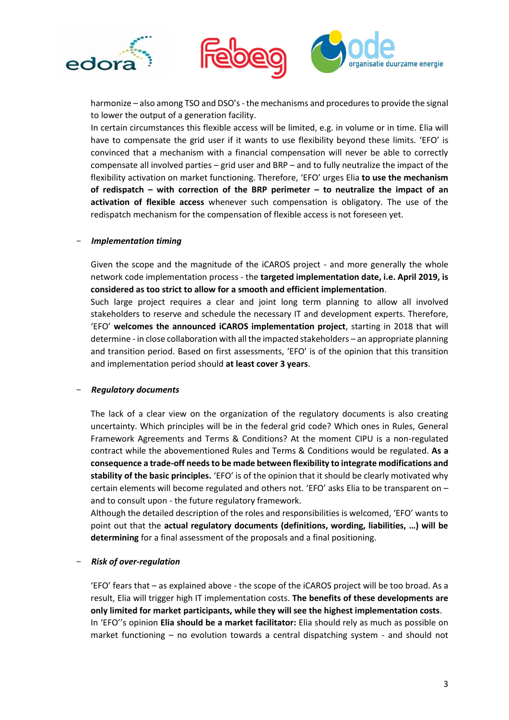



harmonize – also among TSO and DSO's - the mechanisms and procedures to provide the signal to lower the output of a generation facility.

In certain circumstances this flexible access will be limited, e.g. in volume or in time. Elia will have to compensate the grid user if it wants to use flexibility beyond these limits. 'EFO' is convinced that a mechanism with a financial compensation will never be able to correctly compensate all involved parties – grid user and BRP – and to fully neutralize the impact of the flexibility activation on market functioning. Therefore, 'EFO' urges Elia **to use the mechanism of redispatch – with correction of the BRP perimeter – to neutralize the impact of an activation of flexible access** whenever such compensation is obligatory. The use of the redispatch mechanism for the compensation of flexible access is not foreseen yet.

#### - *Implementation timing*

Given the scope and the magnitude of the iCAROS project - and more generally the whole network code implementation process - the **targeted implementation date, i.e. April 2019, is considered as too strict to allow for a smooth and efficient implementation**.

Such large project requires a clear and joint long term planning to allow all involved stakeholders to reserve and schedule the necessary IT and development experts. Therefore, 'EFO' **welcomes the announced iCAROS implementation project**, starting in 2018 that will determine - in close collaboration with all the impacted stakeholders – an appropriate planning and transition period. Based on first assessments, 'EFO' is of the opinion that this transition and implementation period should **at least cover 3 years**.

#### - *Regulatory documents*

The lack of a clear view on the organization of the regulatory documents is also creating uncertainty. Which principles will be in the federal grid code? Which ones in Rules, General Framework Agreements and Terms & Conditions? At the moment CIPU is a non-regulated contract while the abovementioned Rules and Terms & Conditions would be regulated. **As a consequence a trade-off needs to be made between flexibility to integrate modifications and stability of the basic principles.** 'EFO' is of the opinion that it should be clearly motivated why certain elements will become regulated and others not. 'EFO' asks Elia to be transparent on – and to consult upon - the future regulatory framework.

Although the detailed description of the roles and responsibilities is welcomed, 'EFO' wants to point out that the **actual regulatory documents (definitions, wording, liabilities, …) will be determining** for a final assessment of the proposals and a final positioning.

#### - *Risk of over-regulation*

'EFO' fears that – as explained above - the scope of the iCAROS project will be too broad. As a result, Elia will trigger high IT implementation costs. **The benefits of these developments are only limited for market participants, while they will see the highest implementation costs**. In 'EFO''s opinion **Elia should be a market facilitator:** Elia should rely as much as possible on market functioning – no evolution towards a central dispatching system - and should not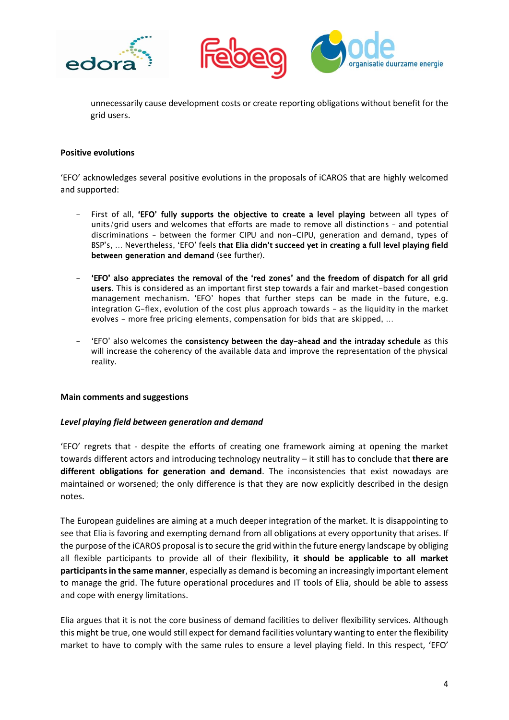





unnecessarily cause development costs or create reporting obligations without benefit for the grid users.

## **Positive evolutions**

'EFO' acknowledges several positive evolutions in the proposals of iCAROS that are highly welcomed and supported:

- First of all, 'EFO' fully supports the objective to create a level playing between all types of units/grid users and welcomes that efforts are made to remove all distinctions – and potential discriminations – between the former CIPU and non-CIPU, generation and demand, types of BSP's, … Nevertheless, 'EFO' feels that Elia didn't succeed yet in creating a full level playing field between generation and demand (see further).
- 'EFO' also appreciates the removal of the 'red zones' and the freedom of dispatch for all grid users. This is considered as an important first step towards a fair and market-based congestion management mechanism. 'EFO' hopes that further steps can be made in the future, e.g. integration G-flex, evolution of the cost plus approach towards – as the liquidity in the market evolves - more free pricing elements, compensation for bids that are skipped, ...
- 'EFO' also welcomes the consistency between the day-ahead and the intraday schedule as this will increase the coherency of the available data and improve the representation of the physical reality.

#### **Main comments and suggestions**

#### *Level playing field between generation and demand*

'EFO' regrets that - despite the efforts of creating one framework aiming at opening the market towards different actors and introducing technology neutrality – it still has to conclude that **there are different obligations for generation and demand**. The inconsistencies that exist nowadays are maintained or worsened; the only difference is that they are now explicitly described in the design notes.

The European guidelines are aiming at a much deeper integration of the market. It is disappointing to see that Elia is favoring and exempting demand from all obligations at every opportunity that arises. If the purpose of the iCAROS proposal is to secure the grid within the future energy landscape by obliging all flexible participants to provide all of their flexibility, **it should be applicable to all market participants in the same manner**, especially as demand is becoming an increasingly important element to manage the grid. The future operational procedures and IT tools of Elia, should be able to assess and cope with energy limitations.

Elia argues that it is not the core business of demand facilities to deliver flexibility services. Although this might be true, one would still expect for demand facilities voluntary wanting to enter the flexibility market to have to comply with the same rules to ensure a level playing field. In this respect, 'EFO'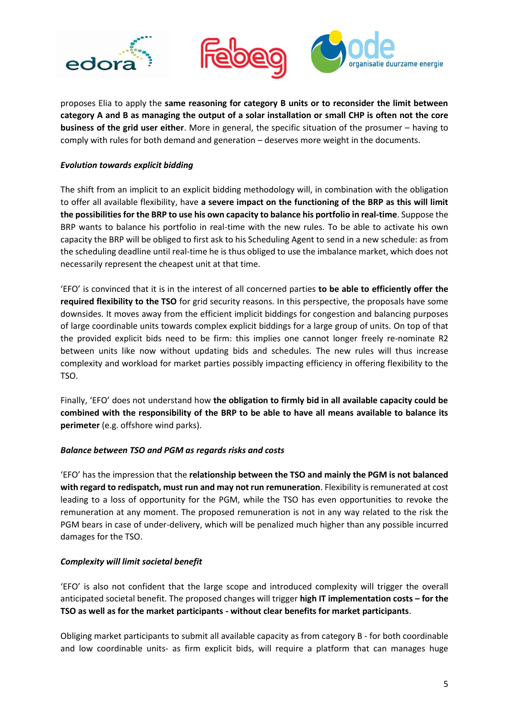





proposes Elia to apply the **same reasoning for category B units or to reconsider the limit between category A and B as managing the output of a solar installation or small CHP is often not the core business of the grid user either**. More in general, the specific situation of the prosumer – having to comply with rules for both demand and generation – deserves more weight in the documents.

## *Evolution towards explicit bidding*

The shift from an implicit to an explicit bidding methodology will, in combination with the obligation to offer all available flexibility, have **a severe impact on the functioning of the BRP as this will limit the possibilities for the BRP to use his own capacity to balance his portfolio in real-time**. Suppose the BRP wants to balance his portfolio in real-time with the new rules. To be able to activate his own capacity the BRP will be obliged to first ask to his Scheduling Agent to send in a new schedule: as from the scheduling deadline until real-time he is thus obliged to use the imbalance market, which does not necessarily represent the cheapest unit at that time.

'EFO' is convinced that it is in the interest of all concerned parties **to be able to efficiently offer the required flexibility to the TSO** for grid security reasons. In this perspective, the proposals have some downsides. It moves away from the efficient implicit biddings for congestion and balancing purposes of large coordinable units towards complex explicit biddings for a large group of units. On top of that the provided explicit bids need to be firm: this implies one cannot longer freely re-nominate R2 between units like now without updating bids and schedules. The new rules will thus increase complexity and workload for market parties possibly impacting efficiency in offering flexibility to the TSO.

Finally, 'EFO' does not understand how **the obligation to firmly bid in all available capacity could be combined with the responsibility of the BRP to be able to have all means available to balance its perimeter** (e.g. offshore wind parks).

# *Balance between TSO and PGM as regards risks and costs*

'EFO' has the impression that the **relationship between the TSO and mainly the PGM is not balanced with regard to redispatch, must run and may not run remuneration**. Flexibility is remunerated at cost leading to a loss of opportunity for the PGM, while the TSO has even opportunities to revoke the remuneration at any moment. The proposed remuneration is not in any way related to the risk the PGM bears in case of under-delivery, which will be penalized much higher than any possible incurred damages for the TSO.

# *Complexity will limit societal benefit*

'EFO' is also not confident that the large scope and introduced complexity will trigger the overall anticipated societal benefit. The proposed changes will trigger **high IT implementation costs – for the TSO as well as for the market participants - without clear benefits for market participants**.

Obliging market participants to submit all available capacity as from category B - for both coordinable and low coordinable units- as firm explicit bids, will require a platform that can manages huge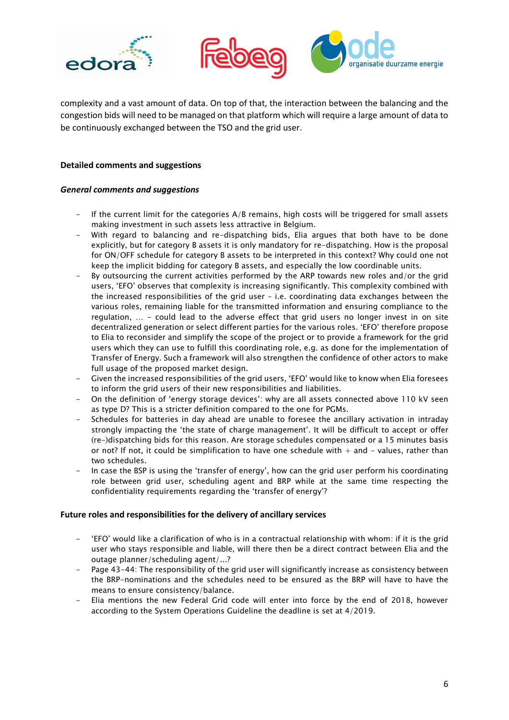





complexity and a vast amount of data. On top of that, the interaction between the balancing and the congestion bids will need to be managed on that platform which will require a large amount of data to be continuously exchanged between the TSO and the grid user.

### **Detailed comments and suggestions**

### *General comments and suggestions*

- If the current limit for the categories A/B remains, high costs will be triggered for small assets making investment in such assets less attractive in Belgium.
- With regard to balancing and re-dispatching bids, Elia argues that both have to be done explicitly, but for category B assets it is only mandatory for re-dispatching. How is the proposal for ON/OFF schedule for category B assets to be interpreted in this context? Why could one not keep the implicit bidding for category B assets, and especially the low coordinable units.
- By outsourcing the current activities performed by the ARP towards new roles and/or the grid users, 'EFO' observes that complexity is increasing significantly. This complexity combined with the increased responsibilities of the grid user – i.e. coordinating data exchanges between the various roles, remaining liable for the transmitted information and ensuring compliance to the regulation, … - could lead to the adverse effect that grid users no longer invest in on site decentralized generation or select different parties for the various roles. 'EFO' therefore propose to Elia to reconsider and simplify the scope of the project or to provide a framework for the grid users which they can use to fulfill this coordinating role, e.g. as done for the implementation of Transfer of Energy. Such a framework will also strengthen the confidence of other actors to make full usage of the proposed market design.
- Given the increased responsibilities of the grid users, 'EFO' would like to know when Elia foresees to inform the grid users of their new responsibilities and liabilities.
- On the definition of 'energy storage devices': why are all assets connected above 110 kV seen as type D? This is a stricter definition compared to the one for PGMs.
- Schedules for batteries in day ahead are unable to foresee the ancillary activation in intraday strongly impacting the 'the state of charge management'. It will be difficult to accept or offer (re-)dispatching bids for this reason. Are storage schedules compensated or a 15 minutes basis or not? If not, it could be simplification to have one schedule with  $+$  and  $-$  values, rather than two schedules.
- In case the BSP is using the 'transfer of energy', how can the grid user perform his coordinating role between grid user, scheduling agent and BRP while at the same time respecting the confidentiality requirements regarding the 'transfer of energy'?

#### **Future roles and responsibilities for the delivery of ancillary services**

- 'EFO' would like a clarification of who is in a contractual relationship with whom: if it is the grid user who stays responsible and liable, will there then be a direct contract between Elia and the outage planner/scheduling agent/...?
- Page 43-44: The responsibility of the grid user will significantly increase as consistency between the BRP-nominations and the schedules need to be ensured as the BRP will have to have the means to ensure consistency/balance.
- Elia mentions the new Federal Grid code will enter into force by the end of 2018, however according to the System Operations Guideline the deadline is set at 4/2019.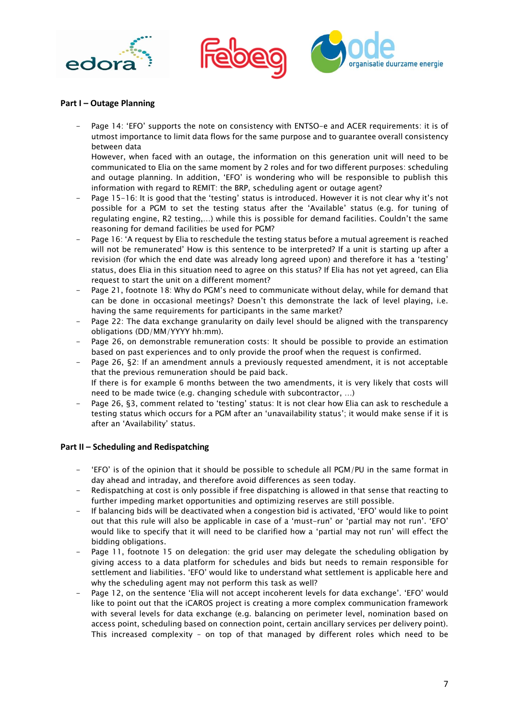





#### **Part I – Outage Planning**

Page 14: 'EFO' supports the note on consistency with ENTSO-e and ACER requirements: it is of utmost importance to limit data flows for the same purpose and to guarantee overall consistency between data

However, when faced with an outage, the information on this generation unit will need to be communicated to Elia on the same moment by 2 roles and for two different purposes: scheduling and outage planning. In addition, 'EFO' is wondering who will be responsible to publish this information with regard to REMIT: the BRP, scheduling agent or outage agent?

- Page 15-16: It is good that the 'testing' status is introduced. However it is not clear why it's not possible for a PGM to set the testing status after the 'Available' status (e.g. for tuning of regulating engine, R2 testing,…) while this is possible for demand facilities. Couldn't the same reasoning for demand facilities be used for PGM?
- Page 16: 'A request by Elia to reschedule the testing status before a mutual agreement is reached will not be remunerated' How is this sentence to be interpreted? If a unit is starting up after a revision (for which the end date was already long agreed upon) and therefore it has a 'testing' status, does Elia in this situation need to agree on this status? If Elia has not yet agreed, can Elia request to start the unit on a different moment?
- Page 21, footnote 18: Why do PGM's need to communicate without delay, while for demand that can be done in occasional meetings? Doesn't this demonstrate the lack of level playing, i.e. having the same requirements for participants in the same market?
- Page 22: The data exchange granularity on daily level should be aligned with the transparency obligations (DD/MM/YYYY hh:mm).
- Page 26, on demonstrable remuneration costs: It should be possible to provide an estimation based on past experiences and to only provide the proof when the request is confirmed.
- Page 26, §2: If an amendment annuls a previously requested amendment, it is not acceptable that the previous remuneration should be paid back. If there is for example 6 months between the two amendments, it is very likely that costs will need to be made twice (e.g. changing schedule with subcontractor, …)
- Page 26, §3, comment related to 'testing' status: It is not clear how Elia can ask to reschedule a testing status which occurs for a PGM after an 'unavailability status'; it would make sense if it is after an 'Availability' status.

## **Part II – Scheduling and Redispatching**

- 'EFO' is of the opinion that it should be possible to schedule all PGM/PU in the same format in day ahead and intraday, and therefore avoid differences as seen today.
- Redispatching at cost is only possible if free dispatching is allowed in that sense that reacting to further impeding market opportunities and optimizing reserves are still possible.
- If balancing bids will be deactivated when a congestion bid is activated, 'EFO' would like to point out that this rule will also be applicable in case of a 'must-run' or 'partial may not run'. 'EFO' would like to specify that it will need to be clarified how a 'partial may not run' will effect the bidding obligations.
- Page 11, footnote 15 on delegation: the grid user may delegate the scheduling obligation by giving access to a data platform for schedules and bids but needs to remain responsible for settlement and liabilities. 'EFO' would like to understand what settlement is applicable here and why the scheduling agent may not perform this task as well?
- Page 12, on the sentence 'Elia will not accept incoherent levels for data exchange'. 'EFO' would like to point out that the iCAROS project is creating a more complex communication framework with several levels for data exchange (e.g. balancing on perimeter level, nomination based on access point, scheduling based on connection point, certain ancillary services per delivery point). This increased complexity – on top of that managed by different roles which need to be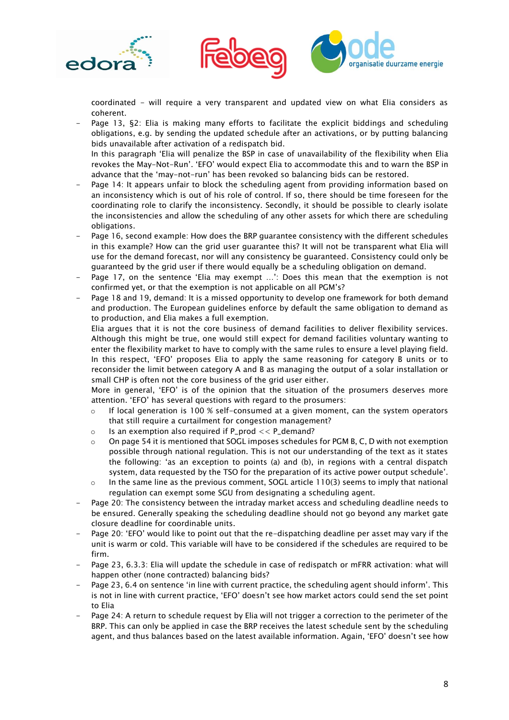





coordinated - will require a very transparent and updated view on what Elia considers as coherent.

Page 13, §2: Elia is making many efforts to facilitate the explicit biddings and scheduling obligations, e.g. by sending the updated schedule after an activations, or by putting balancing bids unavailable after activation of a redispatch bid. In this paragraph 'Elia will penalize the BSP in case of unavailability of the flexibility when Elia

revokes the May-Not-Run'. 'EFO' would expect Elia to accommodate this and to warn the BSP in advance that the 'may-not-run' has been revoked so balancing bids can be restored.

- Page 14: It appears unfair to block the scheduling agent from providing information based on an inconsistency which is out of his role of control. If so, there should be time foreseen for the coordinating role to clarify the inconsistency. Secondly, it should be possible to clearly isolate the inconsistencies and allow the scheduling of any other assets for which there are scheduling obligations.
- Page 16, second example: How does the BRP guarantee consistency with the different schedules in this example? How can the grid user guarantee this? It will not be transparent what Elia will use for the demand forecast, nor will any consistency be guaranteed. Consistency could only be guaranteed by the grid user if there would equally be a scheduling obligation on demand.
- Page 17, on the sentence 'Elia may exempt ...': Does this mean that the exemption is not confirmed yet, or that the exemption is not applicable on all PGM's?
- Page 18 and 19, demand: It is a missed opportunity to develop one framework for both demand and production. The European guidelines enforce by default the same obligation to demand as to production, and Elia makes a full exemption.

Elia argues that it is not the core business of demand facilities to deliver flexibility services. Although this might be true, one would still expect for demand facilities voluntary wanting to enter the flexibility market to have to comply with the same rules to ensure a level playing field. In this respect, 'EFO' proposes Elia to apply the same reasoning for category B units or to reconsider the limit between category A and B as managing the output of a solar installation or small CHP is often not the core business of the grid user either.

More in general, 'EFO' is of the opinion that the situation of the prosumers deserves more attention. 'EFO' has several questions with regard to the prosumers:

- $\circ$  If local generation is 100 % self-consumed at a given moment, can the system operators that still require a curtailment for congestion management?
- $\circ$  Is an exemption also required if P\_prod  $<<$  P\_demand?
- $\circ$  On page 54 it is mentioned that SOGL imposes schedules for PGM B, C, D with not exemption possible through national regulation. This is not our understanding of the text as it states the following: 'as an exception to points (a) and (b), in regions with a central dispatch system, data requested by the TSO for the preparation of its active power output schedule'.
- $\circ$  In the same line as the previous comment, SOGL article 110(3) seems to imply that national regulation can exempt some SGU from designating a scheduling agent.
- Page 20: The consistency between the intraday market access and scheduling deadline needs to be ensured. Generally speaking the scheduling deadline should not go beyond any market gate closure deadline for coordinable units.
- Page 20: 'EFO' would like to point out that the re-dispatching deadline per asset may vary if the unit is warm or cold. This variable will have to be considered if the schedules are required to be firm.
- Page 23, 6.3.3: Elia will update the schedule in case of redispatch or mFRR activation: what will happen other (none contracted) balancing bids?
- Page 23, 6.4 on sentence 'in line with current practice, the scheduling agent should inform'. This is not in line with current practice, 'EFO' doesn't see how market actors could send the set point to Elia
- Page 24: A return to schedule request by Elia will not trigger a correction to the perimeter of the BRP. This can only be applied in case the BRP receives the latest schedule sent by the scheduling agent, and thus balances based on the latest available information. Again, 'EFO' doesn't see how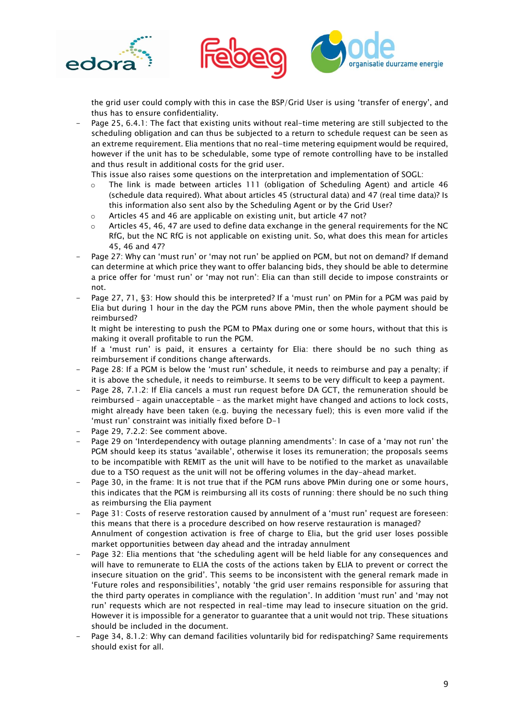





the grid user could comply with this in case the BSP/Grid User is using 'transfer of energy', and thus has to ensure confidentiality.

Page 25, 6.4.1: The fact that existing units without real-time metering are still subjected to the scheduling obligation and can thus be subjected to a return to schedule request can be seen as an extreme requirement. Elia mentions that no real-time metering equipment would be required, however if the unit has to be schedulable, some type of remote controlling have to be installed and thus result in additional costs for the grid user.

This issue also raises some questions on the interpretation and implementation of SOGL:

- $\circ$  The link is made between articles 111 (obligation of Scheduling Agent) and article 46 (schedule data required). What about articles 45 (structural data) and 47 (real time data)? Is this information also sent also by the Scheduling Agent or by the Grid User?
- o Articles 45 and 46 are applicable on existing unit, but article 47 not?
- $\circ$  Articles 45, 46, 47 are used to define data exchange in the general requirements for the NC RfG, but the NC RfG is not applicable on existing unit. So, what does this mean for articles 45, 46 and 47?
- Page 27: Why can 'must run' or 'may not run' be applied on PGM, but not on demand? If demand can determine at which price they want to offer balancing bids, they should be able to determine a price offer for 'must run' or 'may not run': Elia can than still decide to impose constraints or not.
- Page 27, 71, §3: How should this be interpreted? If a 'must run' on PMin for a PGM was paid by Elia but during 1 hour in the day the PGM runs above PMin, then the whole payment should be reimbursed?

It might be interesting to push the PGM to PMax during one or some hours, without that this is making it overall profitable to run the PGM.

If a 'must run' is paid, it ensures a certainty for Elia: there should be no such thing as reimbursement if conditions change afterwards.

- Page 28: If a PGM is below the 'must run' schedule, it needs to reimburse and pay a penalty; if it is above the schedule, it needs to reimburse. It seems to be very difficult to keep a payment.
- Page 28, 7.1.2: If Elia cancels a must run request before DA GCT, the remuneration should be reimbursed – again unacceptable – as the market might have changed and actions to lock costs, might already have been taken (e.g. buying the necessary fuel); this is even more valid if the 'must run' constraint was initially fixed before D-1
- Page 29, 7.2.2: See comment above.
- Page 29 on 'Interdependency with outage planning amendments': In case of a 'may not run' the PGM should keep its status 'available', otherwise it loses its remuneration; the proposals seems to be incompatible with REMIT as the unit will have to be notified to the market as unavailable due to a TSO request as the unit will not be offering volumes in the day-ahead market.
- Page 30, in the frame: It is not true that if the PGM runs above PMin during one or some hours, this indicates that the PGM is reimbursing all its costs of running: there should be no such thing as reimbursing the Elia payment
- Page 31: Costs of reserve restoration caused by annulment of a 'must run' request are foreseen: this means that there is a procedure described on how reserve restauration is managed? Annulment of congestion activation is free of charge to Elia, but the grid user loses possible market opportunities between day ahead and the intraday annulment
- Page 32: Elia mentions that 'the scheduling agent will be held liable for any consequences and will have to remunerate to ELIA the costs of the actions taken by ELIA to prevent or correct the insecure situation on the grid'. This seems to be inconsistent with the general remark made in 'Future roles and responsibilities', notably 'the grid user remains responsible for assuring that the third party operates in compliance with the regulation'. In addition 'must run' and 'may not run' requests which are not respected in real-time may lead to insecure situation on the grid. However it is impossible for a generator to guarantee that a unit would not trip. These situations should be included in the document.
- Page 34, 8.1.2: Why can demand facilities voluntarily bid for redispatching? Same requirements should exist for all.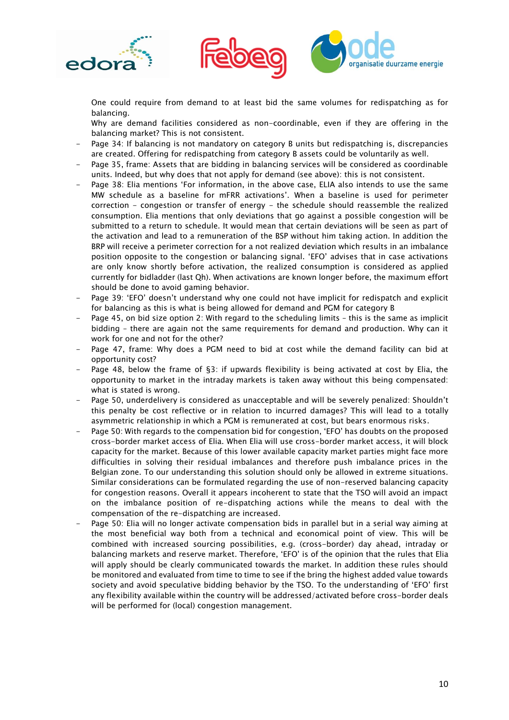





One could require from demand to at least bid the same volumes for redispatching as for balancing.

Why are demand facilities considered as non-coordinable, even if they are offering in the balancing market? This is not consistent.

- Page 34: If balancing is not mandatory on category B units but redispatching is, discrepancies are created. Offering for redispatching from category B assets could be voluntarily as well.
- Page 35, frame: Assets that are bidding in balancing services will be considered as coordinable units. Indeed, but why does that not apply for demand (see above): this is not consistent.
- Page 38: Elia mentions 'For information, in the above case, ELIA also intends to use the same MW schedule as a baseline for mFRR activations'. When a baseline is used for perimeter correction - congestion or transfer of energy - the schedule should reassemble the realized consumption. Elia mentions that only deviations that go against a possible congestion will be submitted to a return to schedule. It would mean that certain deviations will be seen as part of the activation and lead to a remuneration of the BSP without him taking action. In addition the BRP will receive a perimeter correction for a not realized deviation which results in an imbalance position opposite to the congestion or balancing signal. 'EFO' advises that in case activations are only know shortly before activation, the realized consumption is considered as applied currently for bidladder (last Qh). When activations are known longer before, the maximum effort should be done to avoid gaming behavior.
- Page 39: 'EFO' doesn't understand why one could not have implicit for redispatch and explicit for balancing as this is what is being allowed for demand and PGM for category B
- Page 45, on bid size option 2: With regard to the scheduling limits this is the same as implicit bidding – there are again not the same requirements for demand and production. Why can it work for one and not for the other?
- Page 47, frame: Why does a PGM need to bid at cost while the demand facility can bid at opportunity cost?
- Page 48, below the frame of §3: if upwards flexibility is being activated at cost by Elia, the opportunity to market in the intraday markets is taken away without this being compensated: what is stated is wrong.
- Page 50, underdelivery is considered as unacceptable and will be severely penalized: Shouldn't this penalty be cost reflective or in relation to incurred damages? This will lead to a totally asymmetric relationship in which a PGM is remunerated at cost, but bears enormous risks.
- Page 50: With regards to the compensation bid for congestion, 'EFO' has doubts on the proposed cross-border market access of Elia. When Elia will use cross-border market access, it will block capacity for the market. Because of this lower available capacity market parties might face more difficulties in solving their residual imbalances and therefore push imbalance prices in the Belgian zone. To our understanding this solution should only be allowed in extreme situations. Similar considerations can be formulated regarding the use of non-reserved balancing capacity for congestion reasons. Overall it appears incoherent to state that the TSO will avoid an impact on the imbalance position of re-dispatching actions while the means to deal with the compensation of the re-dispatching are increased.
- Page 50: Elia will no longer activate compensation bids in parallel but in a serial way aiming at the most beneficial way both from a technical and economical point of view. This will be combined with increased sourcing possibilities, e.g. (cross-border) day ahead, intraday or balancing markets and reserve market. Therefore, 'EFO' is of the opinion that the rules that Elia will apply should be clearly communicated towards the market. In addition these rules should be monitored and evaluated from time to time to see if the bring the highest added value towards society and avoid speculative bidding behavior by the TSO. To the understanding of 'EFO' first any flexibility available within the country will be addressed/activated before cross-border deals will be performed for (local) congestion management.